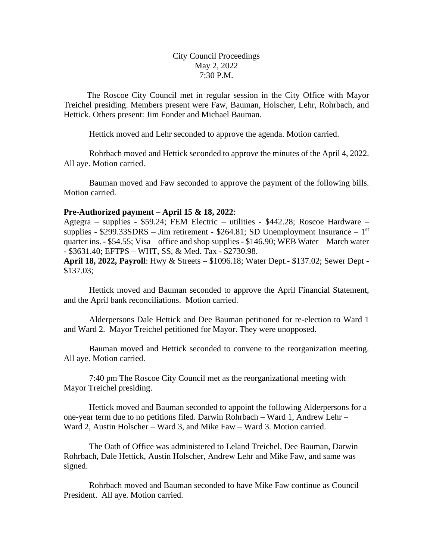City Council Proceedings May 2, 2022 7:30 P.M.

 The Roscoe City Council met in regular session in the City Office with Mayor Treichel presiding. Members present were Faw, Bauman, Holscher, Lehr, Rohrbach, and Hettick. Others present: Jim Fonder and Michael Bauman.

Hettick moved and Lehr seconded to approve the agenda. Motion carried.

Rohrbach moved and Hettick seconded to approve the minutes of the April 4, 2022. All aye. Motion carried.

Bauman moved and Faw seconded to approve the payment of the following bills. Motion carried.

## **Pre-Authorized payment – April 15 & 18, 2022**:

Agtegra – supplies - \$59.24; FEM Electric – utilities - \$442.28; Roscoe Hardware – supplies -  $$299.33SDRS - Jim retirement - $264.81$ ; SD Unemployment Insurance  $-1<sup>st</sup>$ quarter ins. - \$54.55; Visa – office and shop supplies - \$146.90; WEB Water – March water - \$3631.40; EFTPS – WHT, SS, & Med. Tax - \$2730.98.

**April 18, 2022, Payroll**: Hwy & Streets – \$1096.18; Water Dept.- \$137.02; Sewer Dept - \$137.03;

Hettick moved and Bauman seconded to approve the April Financial Statement, and the April bank reconciliations. Motion carried.

Alderpersons Dale Hettick and Dee Bauman petitioned for re-election to Ward 1 and Ward 2. Mayor Treichel petitioned for Mayor. They were unopposed.

Bauman moved and Hettick seconded to convene to the reorganization meeting. All aye. Motion carried.

7:40 pm The Roscoe City Council met as the reorganizational meeting with Mayor Treichel presiding.

Hettick moved and Bauman seconded to appoint the following Alderpersons for a one-year term due to no petitions filed. Darwin Rohrbach – Ward 1, Andrew Lehr – Ward 2, Austin Holscher – Ward 3, and Mike Faw – Ward 3. Motion carried.

The Oath of Office was administered to Leland Treichel, Dee Bauman, Darwin Rohrbach, Dale Hettick, Austin Holscher, Andrew Lehr and Mike Faw, and same was signed.

Rohrbach moved and Bauman seconded to have Mike Faw continue as Council President. All aye. Motion carried.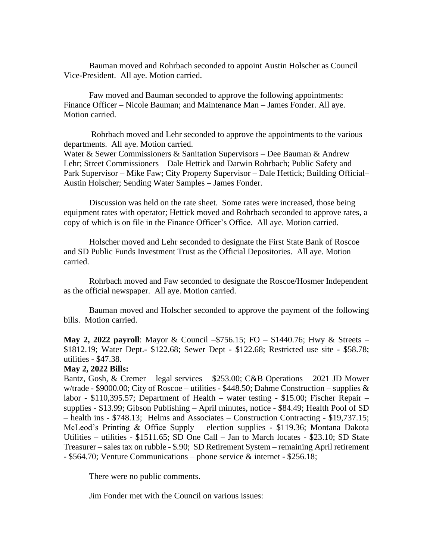Bauman moved and Rohrbach seconded to appoint Austin Holscher as Council Vice-President. All aye. Motion carried.

Faw moved and Bauman seconded to approve the following appointments: Finance Officer – Nicole Bauman; and Maintenance Man – James Fonder. All aye. Motion carried.

Rohrbach moved and Lehr seconded to approve the appointments to the various departments. All aye. Motion carried. Water & Sewer Commissioners & Sanitation Supervisors – Dee Bauman & Andrew Lehr; Street Commissioners – Dale Hettick and Darwin Rohrbach; Public Safety and Park Supervisor – Mike Faw; City Property Supervisor – Dale Hettick; Building Official– Austin Holscher; Sending Water Samples – James Fonder.

Discussion was held on the rate sheet. Some rates were increased, those being equipment rates with operator; Hettick moved and Rohrbach seconded to approve rates, a copy of which is on file in the Finance Officer's Office. All aye. Motion carried.

Holscher moved and Lehr seconded to designate the First State Bank of Roscoe and SD Public Funds Investment Trust as the Official Depositories. All aye. Motion carried.

Rohrbach moved and Faw seconded to designate the Roscoe/Hosmer Independent as the official newspaper. All aye. Motion carried.

Bauman moved and Holscher seconded to approve the payment of the following bills. Motion carried.

**May 2, 2022 payroll**: Mayor & Council –\$756.15; FO – \$1440.76; Hwy & Streets – \$1812.19; Water Dept.- \$122.68; Sewer Dept - \$122.68; Restricted use site - \$58.78; utilities - \$47.38.

## **May 2, 2022 Bills:**

Bantz, Gosh, & Cremer – legal services – \$253.00; C&B Operations – 2021 JD Mower w/trade - \$9000.00; City of Roscoe – utilities - \$448.50; Dahme Construction – supplies  $\&$ labor - \$110,395.57; Department of Health – water testing - \$15.00; Fischer Repair – supplies - \$13.99; Gibson Publishing – April minutes, notice - \$84.49; Health Pool of SD – health ins - \$748.13; Helms and Associates – Construction Contracting - \$19,737.15; McLeod's Printing & Office Supply – election supplies - \$119.36; Montana Dakota Utilities – utilities - \$1511.65; SD One Call – Jan to March locates - \$23.10; SD State Treasurer – sales tax on rubble - \$.90; SD Retirement System – remaining April retirement - \$564.70; Venture Communications – phone service & internet - \$256.18;

There were no public comments.

Jim Fonder met with the Council on various issues: